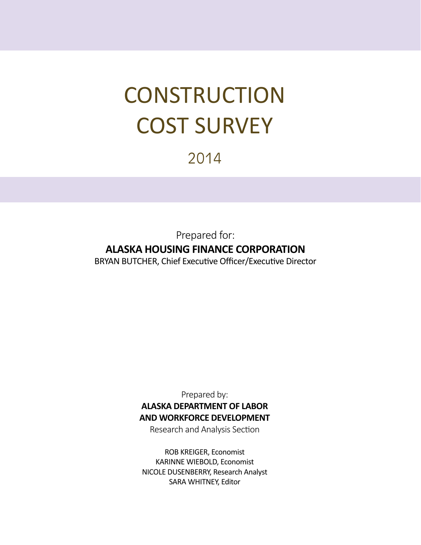# **CONSTRUCTION** COST SURVEY

## 2014

Prepared for: **ALASKA HOUSING FINANCE CORPORATION** BRYAN BUTCHER, Chief Executive Officer/Executive Director

> Prepared by: **ALASKA DEPARTMENT OF LABOR AND WORKFORCE DEVELOPMENT**

Research and Analysis Section

ROB KREIGER, Economist KARINNE WIEBOLD, Economist NICOLE DUSENBERRY, Research Analyst SARA WHITNEY, Editor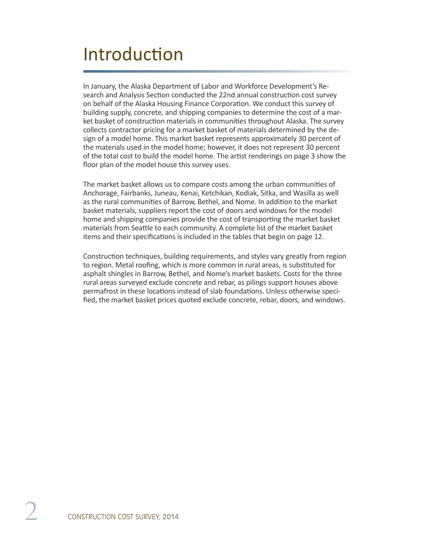## **Introduction**

In January, the Alaska Department of Labor and Workforce Development's Research and Analysis Section conducted the 22nd annual construction cost survey on behalf of the Alaska Housing Finance Corporation. We conduct this survey of building supply, concrete, and shipping companies to determine the cost of a market basket of construction materials in communities throughout Alaska. The survey collects contractor pricing for a market basket of materials determined by the design of a model home. This market basket represents approximately 30 percent of the materials used in the model home; however, it does not represent 30 percent of the total cost to build the model home. The artist renderings on page 3 show the floor plan of the model house this survey uses.

The market basket allows us to compare costs among the urban communities of Anchorage, Fairbanks, Juneau, Kenai, Ketchikan, Kodiak, Sitka, and Wasilla as well as the rural communities of Barrow, Bethel, and Nome. In addition to the market basket materials, suppliers report the cost of doors and windows for the model home and shipping companies provide the cost of transporting the market basket materials from Seattle to each community. A complete list of the market basket items and their specifications is included in the tables that begin on page 12.

Construction techniques, building requirements, and styles vary greatly from region to region. Metal roofing, which is more common in rural areas, is substituted for asphalt shingles in Barrow, Bethel, and Nome's market baskets. Costs for the three rural areas surveyed exclude concrete and rebar, as pilings support houses above permafrost in these locations instead of slab foundations. Unless otherwise specified, the market basket prices quoted exclude concrete, rebar, doors, and windows.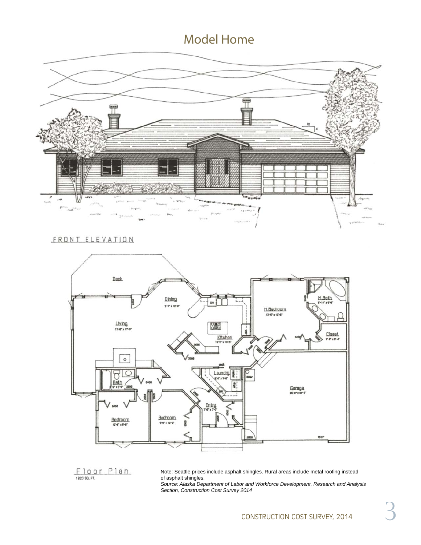#### Model Home



#### FRONT ELEVATION



Floor Plan 1923 SQ. FT.

Note: Seattle prices include asphalt shingles. Rural areas include metal roofing instead of asphalt shingles.

*Source: Alaska Department of Labor and Workforce Development, Research and Analysis Section, Construction Cost Survey 2014*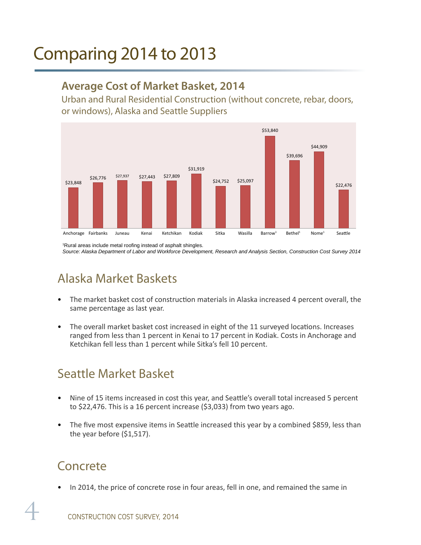## Comparing 2014 to 2013

#### **Average Cost of Market Basket, 2014**

Urban and Rural Residential Construction (without concrete, rebar, doors, or windows), Alaska and Seattle Suppliers



<sup>1</sup>Rural areas include metal roofing instead of asphalt shingles. *Source: Alaska Department of Labor and Workforce Development, Research and Analysis Section, Construction Cost Survey 2014*

## Alaska Market Baskets

- The market basket cost of construction materials in Alaska increased 4 percent overall, the same percentage as last year.
- The overall market basket cost increased in eight of the 11 surveyed locations. Increases ranged from less than 1 percent in Kenai to 17 percent in Kodiak. Costs in Anchorage and Ketchikan fell less than 1 percent while Sitka's fell 10 percent.

## Seattle Market Basket

- Nine of 15 items increased in cost this year, and Seattle's overall total increased 5 percent to \$22,476. This is a 16 percent increase (\$3,033) from two years ago.
- The five most expensive items in Seattle increased this year by a combined \$859, less than the year before (\$1,517).

### Concrete

• In 2014, the price of concrete rose in four areas, fell in one, and remained the same in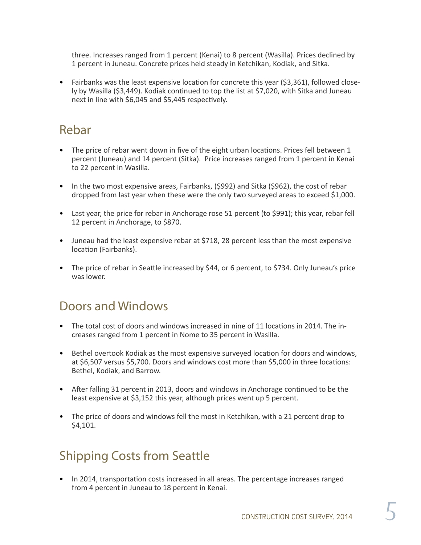three. Increases ranged from 1 percent (Kenai) to 8 percent (Wasilla). Prices declined by 1 percent in Juneau. Concrete prices held steady in Ketchikan, Kodiak, and Sitka.

• Fairbanks was the least expensive location for concrete this year (\$3,361), followed closely by Wasilla (\$3,449). Kodiak continued to top the list at \$7,020, with Sitka and Juneau next in line with \$6,045 and \$5,445 respectively.

#### Rebar

- The price of rebar went down in five of the eight urban locations. Prices fell between 1 percent (Juneau) and 14 percent (Sitka). Price increases ranged from 1 percent in Kenai to 22 percent in Wasilla.
- In the two most expensive areas, Fairbanks, (\$992) and Sitka (\$962), the cost of rebar dropped from last year when these were the only two surveyed areas to exceed \$1,000.
- Last year, the price for rebar in Anchorage rose 51 percent (to \$991); this year, rebar fell 12 percent in Anchorage, to \$870.
- Juneau had the least expensive rebar at \$718, 28 percent less than the most expensive location (Fairbanks).
- The price of rebar in Seattle increased by \$44, or 6 percent, to \$734. Only Juneau's price was lower.

#### Doors and Windows

- The total cost of doors and windows increased in nine of 11 locations in 2014. The increases ranged from 1 percent in Nome to 35 percent in Wasilla.
- Bethel overtook Kodiak as the most expensive surveyed location for doors and windows, at \$6,507 versus \$5,700. Doors and windows cost more than \$5,000 in three locations: Bethel, Kodiak, and Barrow.
- After falling 31 percent in 2013, doors and windows in Anchorage continued to be the least expensive at \$3,152 this year, although prices went up 5 percent.
- The price of doors and windows fell the most in Ketchikan, with a 21 percent drop to \$4,101.

## Shipping Costs from Seattle

• In 2014, transportation costs increased in all areas. The percentage increases ranged from 4 percent in Juneau to 18 percent in Kenai.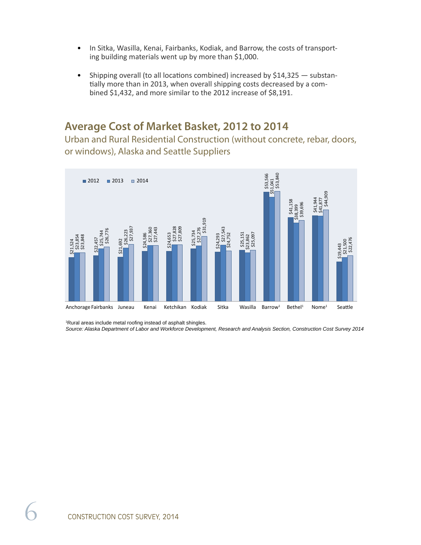- In Sitka, Wasilla, Kenai, Fairbanks, Kodiak, and Barrow, the costs of transporting building materials went up by more than \$1,000.
- Shipping overall (to all locations combined) increased by  $$14,325$  substantially more than in 2013, when overall shipping costs decreased by a combined \$1,432, and more similar to the 2012 increase of \$8,191.

#### **Average Cost of Market Basket, 2012 to 2014**

Urban and Rural Residential Construction (without concrete, rebar, doors, or windows), Alaska and Seattle Suppliers



<sup>1</sup>Rural areas include metal roofing instead of asphalt shingles.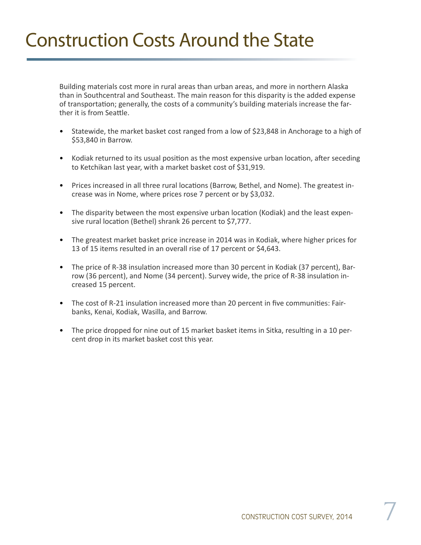# Construction Costs Around the State

Building materials cost more in rural areas than urban areas, and more in northern Alaska than in Southcentral and Southeast. The main reason for this disparity is the added expense of transportation; generally, the costs of a community's building materials increase the farther it is from Seattle.

- Statewide, the market basket cost ranged from a low of \$23,848 in Anchorage to a high of \$53,840 in Barrow.
- Kodiak returned to its usual position as the most expensive urban location, after seceding to Ketchikan last year, with a market basket cost of \$31,919.
- Prices increased in all three rural locations (Barrow, Bethel, and Nome). The greatest increase was in Nome, where prices rose 7 percent or by \$3,032.
- The disparity between the most expensive urban location (Kodiak) and the least expensive rural location (Bethel) shrank 26 percent to \$7,777.
- The greatest market basket price increase in 2014 was in Kodiak, where higher prices for 13 of 15 items resulted in an overall rise of 17 percent or \$4,643.
- The price of R-38 insulation increased more than 30 percent in Kodiak (37 percent), Barrow (36 percent), and Nome (34 percent). Survey wide, the price of R-38 insulation increased 15 percent.
- The cost of R-21 insulation increased more than 20 percent in five communities: Fairbanks, Kenai, Kodiak, Wasilla, and Barrow.
- The price dropped for nine out of 15 market basket items in Sitka, resulting in a 10 percent drop in its market basket cost this year.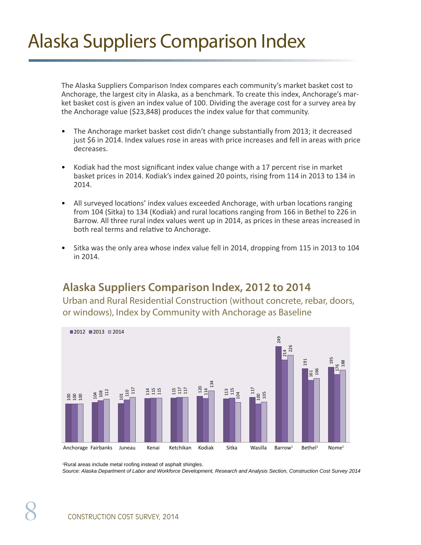# Alaska Suppliers Comparison Index

The Alaska Suppliers Comparison Index compares each community's market basket cost to Anchorage, the largest city in Alaska, as a benchmark. To create this index, Anchorage's market basket cost is given an index value of 100. Dividing the average cost for a survey area by the Anchorage value (\$23,848) produces the index value for that community.

- The Anchorage market basket cost didn't change substantially from 2013; it decreased just \$6 in 2014. Index values rose in areas with price increases and fell in areas with price decreases.
- Kodiak had the most significant index value change with a 17 percent rise in market basket prices in 2014. Kodiak's index gained 20 points, rising from 114 in 2013 to 134 in 2014.
- All surveyed locations' index values exceeded Anchorage, with urban locations ranging from 104 (Sitka) to 134 (Kodiak) and rural locations ranging from 166 in Bethel to 226 in Barrow. All three rural index values went up in 2014, as prices in these areas increased in both real terms and relative to Anchorage.
- Sitka was the only area whose index value fell in 2014, dropping from 115 in 2013 to 104 in 2014.

#### **Alaska Suppliers Comparison Index, 2012 to 2014**

Urban and Rural Residential Construction (without concrete, rebar, doors, or windows), Index by Community with Anchorage as Baseline



<sup>&</sup>lt;sup>1</sup>Rural areas include metal roofing instead of asphalt shingles.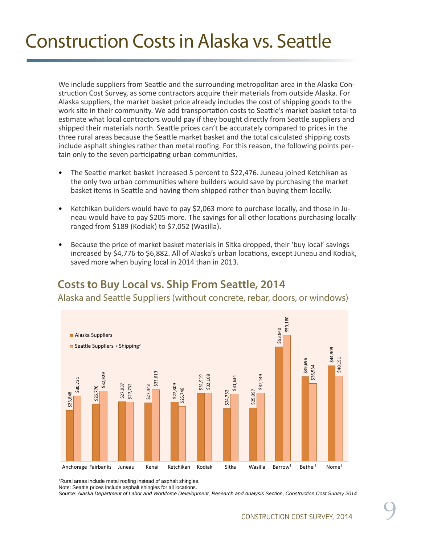# Construction Costs in Alaska vs. Seattle

We include suppliers from Seattle and the surrounding metropolitan area in the Alaska Construction Cost Survey, as some contractors acquire their materials from outside Alaska. For Alaska suppliers, the market basket price already includes the cost of shipping goods to the work site in their community. We add transportation costs to Seattle's market basket total to estimate what local contractors would pay if they bought directly from Seattle suppliers and shipped their materials north. Seattle prices can't be accurately compared to prices in the three rural areas because the Seattle market basket and the total calculated shipping costs include asphalt shingles rather than metal roofing. For this reason, the following points pertain only to the seven participating urban communities.

- The Seattle market basket increased 5 percent to \$22,476. Juneau joined Ketchikan as the only two urban communities where builders would save by purchasing the market basket items in Seattle and having them shipped rather than buying them locally.
- Ketchikan builders would have to pay \$2,063 more to purchase locally, and those in Juneau would have to pay \$205 more. The savings for all other locations purchasing locally ranged from \$189 (Kodiak) to \$7,052 (Wasilla).
- Because the price of market basket materials in Sitka dropped, their 'buy local' savings increased by \$4,776 to \$6,882. All of Alaska's urban locations, except Juneau and Kodiak, saved more when buying local in 2014 than in 2013.

#### **Costs to Buy Local vs. Ship From Seattle, 2014**

Alaska and Seattle Suppliers (without concrete, rebar, doors, or windows)



<sup>1</sup>Rural areas include metal roofing instead of asphalt shingles.

Note: Seattle prices include asphalt shingles for all locations.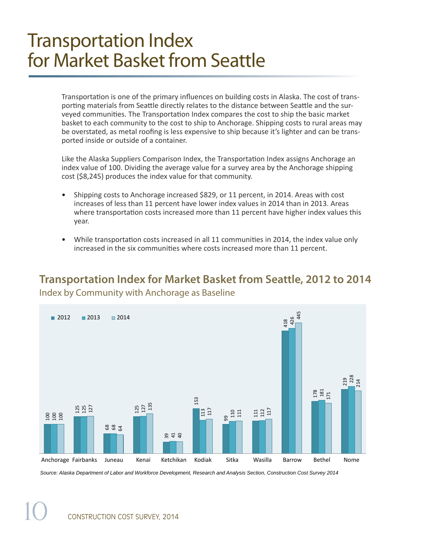## Transportation Index for Market Basket from Seattle

Transportation is one of the primary influences on building costs in Alaska. The cost of transporting materials from Seattle directly relates to the distance between Seattle and the surveyed communities. The Transportation Index compares the cost to ship the basic market basket to each community to the cost to ship to Anchorage. Shipping costs to rural areas may be overstated, as metal roofing is less expensive to ship because it's lighter and can be transported inside or outside of a container.

Like the Alaska Suppliers Comparison Index, the Transportation Index assigns Anchorage an index value of 100. Dividing the average value for a survey area by the Anchorage shipping cost (\$8,245) produces the index value for that community.

- Shipping costs to Anchorage increased \$829, or 11 percent, in 2014. Areas with cost increases of less than 11 percent have lower index values in 2014 than in 2013. Areas where transportation costs increased more than 11 percent have higher index values this year.
- While transportation costs increased in all 11 communities in 2014, the index value only increased in the six communities where costs increased more than 11 percent.

#### **Transportation Index for Market Basket from Seattle, 2012 to 2014** Index by Community with Anchorage as Baseline



10 CONSTRUCTION COST SURVEY, 2014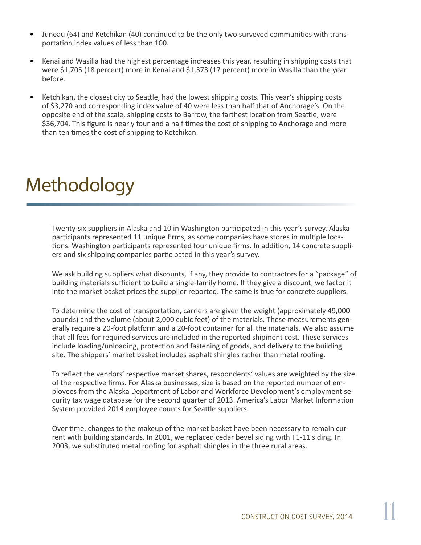- Juneau (64) and Ketchikan (40) continued to be the only two surveyed communities with transportation index values of less than 100.
- Kenai and Wasilla had the highest percentage increases this year, resulting in shipping costs that were \$1,705 (18 percent) more in Kenai and \$1,373 (17 percent) more in Wasilla than the year before.
- Ketchikan, the closest city to Seattle, had the lowest shipping costs. This year's shipping costs of \$3,270 and corresponding index value of 40 were less than half that of Anchorage's. On the opposite end of the scale, shipping costs to Barrow, the farthest location from Seattle, were \$36,704. This figure is nearly four and a half times the cost of shipping to Anchorage and more than ten times the cost of shipping to Ketchikan.

# Methodology

Twenty-six suppliers in Alaska and 10 in Washington participated in this year's survey. Alaska participants represented 11 unique firms, as some companies have stores in multiple locations. Washington participants represented four unique firms. In addition, 14 concrete suppliers and six shipping companies participated in this year's survey.

We ask building suppliers what discounts, if any, they provide to contractors for a "package" of building materials sufficient to build a single-family home. If they give a discount, we factor it into the market basket prices the supplier reported. The same is true for concrete suppliers.

To determine the cost of transportation, carriers are given the weight (approximately 49,000 pounds) and the volume (about 2,000 cubic feet) of the materials. These measurements generally require a 20-foot platform and a 20-foot container for all the materials. We also assume that all fees for required services are included in the reported shipment cost. These services include loading/unloading, protection and fastening of goods, and delivery to the building site. The shippers' market basket includes asphalt shingles rather than metal roofing.

To reflect the vendors' respective market shares, respondents' values are weighted by the size of the respective firms. For Alaska businesses, size is based on the reported number of employees from the Alaska Department of Labor and Workforce Development's employment security tax wage database for the second quarter of 2013. America's Labor Market Information System provided 2014 employee counts for Seattle suppliers.

Over time, changes to the makeup of the market basket have been necessary to remain current with building standards. In 2001, we replaced cedar bevel siding with T1-11 siding. In 2003, we substituted metal roofing for asphalt shingles in the three rural areas.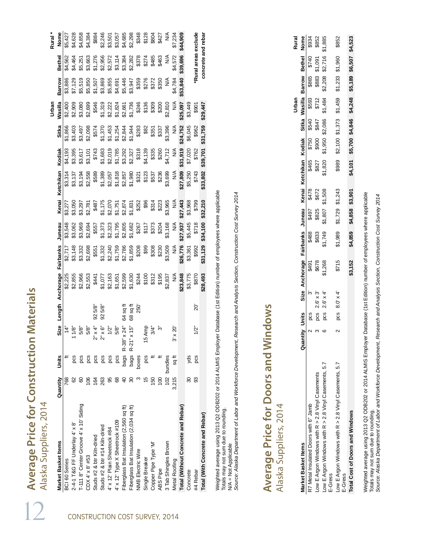| Alaska Suppliers, 2014                  |                |             |                                                                                                                                                                                                                                                                                                                                                                                                                                                                                                                                                            |                        |                                                                                                                                                                                                                                                                                             |                                                                                                                                                                                                                                                                                                     |                    |                  |                                                |                  |                                                                                                                                                                                                                                                                                                                                                                                        | Urban              |               |                                                |
|-----------------------------------------|----------------|-------------|------------------------------------------------------------------------------------------------------------------------------------------------------------------------------------------------------------------------------------------------------------------------------------------------------------------------------------------------------------------------------------------------------------------------------------------------------------------------------------------------------------------------------------------------------------|------------------------|---------------------------------------------------------------------------------------------------------------------------------------------------------------------------------------------------------------------------------------------------------------------------------------------|-----------------------------------------------------------------------------------------------------------------------------------------------------------------------------------------------------------------------------------------------------------------------------------------------------|--------------------|------------------|------------------------------------------------|------------------|----------------------------------------------------------------------------------------------------------------------------------------------------------------------------------------------------------------------------------------------------------------------------------------------------------------------------------------------------------------------------------------|--------------------|---------------|------------------------------------------------|
| Market Basket Items                     | Quantity       | Units       |                                                                                                                                                                                                                                                                                                                                                                                                                                                                                                                                                            |                        |                                                                                                                                                                                                                                                                                             | Size Length Anchorage Fairbanks Juneau                                                                                                                                                                                                                                                              |                    | Kenai            | Ketchikan                                      | Kodiak           | Sitka                                                                                                                                                                                                                                                                                                                                                                                  | Wasilla            | Barrow        | Bethel                                         |
| BCI 60 Series                           | 768            |             | $\ddot{4}$                                                                                                                                                                                                                                                                                                                                                                                                                                                                                                                                                 |                        | \$2,225                                                                                                                                                                                                                                                                                     | \$2,717                                                                                                                                                                                                                                                                                             |                    |                  |                                                |                  | \$1,866                                                                                                                                                                                                                                                                                                                                                                                | \$2,400            | \$3,886       | \$4,562                                        |
| $2-4-1$ T&G FF Underlay $4' \times 8'$  |                |             | 1/8"                                                                                                                                                                                                                                                                                                                                                                                                                                                                                                                                                       |                        | \$2,855                                                                                                                                                                                                                                                                                     | \$3,148                                                                                                                                                                                                                                                                                             | \$3,548<br>\$3,062 |                  |                                                |                  |                                                                                                                                                                                                                                                                                                                                                                                        | \$2,909            | \$7,129       | \$4,464                                        |
| T-111 8" Center Groove 4' x 10' Siding  | 8              | pcs         | 5/8"                                                                                                                                                                                                                                                                                                                                                                                                                                                                                                                                                       |                        | \$2,966                                                                                                                                                                                                                                                                                     | \$3,332                                                                                                                                                                                                                                                                                             |                    |                  |                                                |                  |                                                                                                                                                                                                                                                                                                                                                                                        |                    | \$5,519       | \$5,251                                        |
| CDX 4' x 8' #53                         | 106            | pcs         | 5/8"                                                                                                                                                                                                                                                                                                                                                                                                                                                                                                                                                       |                        | \$2,553                                                                                                                                                                                                                                                                                     | \$2,698                                                                                                                                                                                                                                                                                             |                    |                  | \$3,314<br>\$3,137<br>\$8,194<br>\$88<br>\$889 |                  | $\begin{array}{l} \mathbb{S}^1\\ \mathbb{S}^2\\ \mathbb{S}^3\\ \mathbb{S}^4\\ \mathbb{S}^5\\ \mathbb{S}^6\\ \mathbb{S}^7\\ \mathbb{S}^8\\ \mathbb{S}^8\\ \mathbb{S}^7\\ \mathbb{S}^8\\ \mathbb{S}^7\\ \mathbb{S}^7\\ \mathbb{S}^7\\ \mathbb{S}^7\\ \mathbb{S}^7\\ \mathbb{S}^7\\ \mathbb{S}^7\\ \mathbb{S}^7\\ \mathbb{S}^7\\ \mathbb{S}^7\\ \mathbb{S}^7\\ \mathbb{S}^7\\ \mathbb{S}$ | \$3,080<br>\$2,699 |               | \$3,663                                        |
| Studs #2 & btr Kiln-dried               | 164            | pcs         |                                                                                                                                                                                                                                                                                                                                                                                                                                                                                                                                                            | 925/8                  | \$441                                                                                                                                                                                                                                                                                       | $\begin{array}{l} 57.37 \\ 56.37 \\ 67.37 \\ 77.47 \\ 77.57 \\ 77.57 \\ 77.57 \\ 77.57 \\ 77.57 \\ 77.57 \\ 77.57 \\ 77.57 \\ 77.57 \\ 77.57 \\ 77.57 \\ 77.57 \\ 77.57 \\ 77.57 \\ 77.57 \\ 77.57 \\ 77.57 \\ 77.57 \\ 77.57 \\ 77.57 \\ 77.57 \\ 77.57 \\ 77.57 \\ 77.57 \\ 77.57 \\ 77.57 \\ 77$ |                    |                  |                                                |                  |                                                                                                                                                                                                                                                                                                                                                                                        |                    |               | \$1,276<br>\$2,956<br>\$2,572<br>\$3,114       |
| Studs #2 & btr #14 Kiln-dried           | 263            | pcs         | $\begin{array}{l} \n\hat{\gamma}^2 \times \hat{\gamma}^2 \times \hat{\gamma}^2 \times \hat{\gamma}^2 \times \hat{\gamma}^2 \times \hat{\gamma}^2 \times \hat{\gamma}^2 \times \hat{\gamma}^2 \times \hat{\gamma}^2 \times \hat{\gamma}^2 \times \hat{\gamma}^2 \times \hat{\gamma}^2 \times \hat{\gamma}^2 \times \hat{\gamma}^2 \times \hat{\gamma}^2 \times \hat{\gamma}^2 \times \hat{\gamma}^2 \times \hat{\gamma}^2 \times \hat{\gamma}^2 \times \hat{\gamma}^2 \times \hat{\gamma}^2 \times \hat{\gamma}^2 \times \hat{\gamma}^2 \times \hat{\gamma$ | 5/8"<br>$\overline{8}$ |                                                                                                                                                                                                                                                                                             |                                                                                                                                                                                                                                                                                                     |                    |                  |                                                |                  |                                                                                                                                                                                                                                                                                                                                                                                        |                    |               |                                                |
| 4' x 12' Plain Sheetrock #84            | 95             | pcs         |                                                                                                                                                                                                                                                                                                                                                                                                                                                                                                                                                            |                        |                                                                                                                                                                                                                                                                                             |                                                                                                                                                                                                                                                                                                     |                    |                  |                                                |                  |                                                                                                                                                                                                                                                                                                                                                                                        |                    |               |                                                |
| 4' x 12' Type X Sheetrock #109          | 68             | pcs         | 5/8"                                                                                                                                                                                                                                                                                                                                                                                                                                                                                                                                                       |                        |                                                                                                                                                                                                                                                                                             |                                                                                                                                                                                                                                                                                                     |                    |                  |                                                |                  |                                                                                                                                                                                                                                                                                                                                                                                        |                    |               |                                                |
| Fiberglass Bat Insulation (2,560 sq ft) | $\overline{6}$ |             |                                                                                                                                                                                                                                                                                                                                                                                                                                                                                                                                                            | 64 sq fl               |                                                                                                                                                                                                                                                                                             |                                                                                                                                                                                                                                                                                                     |                    |                  |                                                |                  |                                                                                                                                                                                                                                                                                                                                                                                        |                    |               |                                                |
| Fiberglass Bat Insulation (2,034 sq ft) | $\mathcal{S}$  | bags        | bags R-38" x 24"<br>bags R-21" x 15"                                                                                                                                                                                                                                                                                                                                                                                                                                                                                                                       | 68 sq ft               | $\begin{array}{l} 57.077 \\ 56.465 \\ 57.65 \\ 58.568 \\ 59.568 \\ 52.460 \\ 53.460 \\ 54.460 \\ 55.460 \\ 56.460 \\ 57.460 \\ 58.460 \\ 59.460 \\ 50.460 \\ 50.460 \\ 50.460 \\ 50.460 \\ 50.460 \\ 50.460 \\ 50.460 \\ 50.460 \\ 50.460 \\ 50.460 \\ 50.460 \\ 50.460 \\ 50.460 \\ 50.46$ |                                                                                                                                                                                                                                                                                                     |                    |                  |                                                |                  |                                                                                                                                                                                                                                                                                                                                                                                        |                    |               | \$3,384<br>\$2,282<br>\$2,78<br>\$485<br>\$465 |
| <b>NMB Electric Wire</b>                |                | boxes       |                                                                                                                                                                                                                                                                                                                                                                                                                                                                                                                                                            | 250                    |                                                                                                                                                                                                                                                                                             |                                                                                                                                                                                                                                                                                                     |                    |                  |                                                |                  |                                                                                                                                                                                                                                                                                                                                                                                        |                    |               |                                                |
| Single Breaker                          | 15             | pcs         | 15 Amp                                                                                                                                                                                                                                                                                                                                                                                                                                                                                                                                                     |                        |                                                                                                                                                                                                                                                                                             |                                                                                                                                                                                                                                                                                                     |                    |                  |                                                |                  |                                                                                                                                                                                                                                                                                                                                                                                        |                    |               |                                                |
| Copper Pipe Type 'M'                    | 150            |             | 3/4"                                                                                                                                                                                                                                                                                                                                                                                                                                                                                                                                                       |                        |                                                                                                                                                                                                                                                                                             |                                                                                                                                                                                                                                                                                                     |                    |                  |                                                |                  |                                                                                                                                                                                                                                                                                                                                                                                        |                    |               |                                                |
| ABS Pipe                                | 100            |             |                                                                                                                                                                                                                                                                                                                                                                                                                                                                                                                                                            |                        |                                                                                                                                                                                                                                                                                             |                                                                                                                                                                                                                                                                                                     |                    |                  |                                                |                  |                                                                                                                                                                                                                                                                                                                                                                                        |                    |               |                                                |
| 3 Tab Shingles Brown                    |                | 102 bundles |                                                                                                                                                                                                                                                                                                                                                                                                                                                                                                                                                            |                        |                                                                                                                                                                                                                                                                                             |                                                                                                                                                                                                                                                                                                     |                    |                  |                                                |                  |                                                                                                                                                                                                                                                                                                                                                                                        |                    | $\frac{4}{5}$ | $\frac{4}{5}$                                  |
| Metal Roofing                           | 3,215          | sq ft       | $3' \times 20'$                                                                                                                                                                                                                                                                                                                                                                                                                                                                                                                                            |                        |                                                                                                                                                                                                                                                                                             |                                                                                                                                                                                                                                                                                                     |                    |                  | ⋚                                              |                  |                                                                                                                                                                                                                                                                                                                                                                                        |                    | \$4,784       | \$4,572                                        |
| Total (Without Concrete and Rebar)      |                |             |                                                                                                                                                                                                                                                                                                                                                                                                                                                                                                                                                            |                        | \$23,848                                                                                                                                                                                                                                                                                    | \$26,776                                                                                                                                                                                                                                                                                            | \$27,937           | \$27,443         | \$27,809                                       | \$31,919         | \$24,752                                                                                                                                                                                                                                                                                                                                                                               | \$25,097           | \$53,840      | \$39,696                                       |
| Concrete                                | 30             | yds         |                                                                                                                                                                                                                                                                                                                                                                                                                                                                                                                                                            |                        | \$3,775                                                                                                                                                                                                                                                                                     | \$3,361                                                                                                                                                                                                                                                                                             | \$5,445<br>\$718   | \$3,968<br>\$799 | \$5,250<br>\$743                               | \$7,020<br>\$762 | \$6,045                                                                                                                                                                                                                                                                                                                                                                                | \$3,449            |               |                                                |
| #4 Rebar                                | 33             | pcs         | 1/2"                                                                                                                                                                                                                                                                                                                                                                                                                                                                                                                                                       | Š.                     | \$870                                                                                                                                                                                                                                                                                       | \$992                                                                                                                                                                                                                                                                                               |                    |                  |                                                |                  | \$962                                                                                                                                                                                                                                                                                                                                                                                  | \$90               |               | *Rural areas exclude                           |
| Total (With Concrete and Rebar)         |                |             |                                                                                                                                                                                                                                                                                                                                                                                                                                                                                                                                                            |                        | \$28,493                                                                                                                                                                                                                                                                                    | \$31,129                                                                                                                                                                                                                                                                                            | \$34,100           | \$32,210         | \$33,802                                       | \$39,701         | \$31,759                                                                                                                                                                                                                                                                                                                                                                               | \$29,447           |               | concrete and rebar                             |

Weighted average using 2013 Q2 ODB202 or 2014 ALMIS Employer Database (1st Edition) number of employees where applicable<br>Totals may not sum due to rounding.<br>N/A = Not Applicable<br>Source: Alaska Department of Labor and Workf Weighted average using 2013 Q2 ODB202 or 2014 ALMIS Employer Database (1st Edition) number of employees where applicable Totals may not sum due to rounding.

N/A = Not Applicable

*Source: Alaska Department of Labor and Workforce Development, Research and Analysis Section, Construction Cost Survey 2014*

# Average Price for Doors and Windows **Average Price for Doors and Windows** Alaska Suppliers, 2014 Alaska Suppliers, 2014

|                                                                    |            |                                |         |                   |                   |         |         |                 | Jrban                                        |                         | <b>Rural</b> |
|--------------------------------------------------------------------|------------|--------------------------------|---------|-------------------|-------------------|---------|---------|-----------------|----------------------------------------------|-------------------------|--------------|
| <b><i>Market Basket Items</i></b>                                  | Units<br>5 |                                |         |                   |                   |         |         |                 |                                              |                         |              |
| R7 Metal Insulated Doors with 6" Jamb                              |            |                                |         |                   |                   |         |         |                 |                                              |                         |              |
| Low E Argon Windows with R > 2.8 Vinyl Casements                   | ပ္မ        | $2.6^{\circ} \times 3^{\circ}$ |         |                   |                   |         |         |                 |                                              |                         |              |
| Low E Argon Windows with R > 2.8 Vinyl Casements, 5.7<br>E-Gress   | pcs        | $2.6' \times 4'$               |         |                   |                   |         |         |                 |                                              |                         |              |
| -ow E Argon Windows with $R > 2.8$ Vinyl Casements, 5.7<br>E-Gress | pcs        | $8.0^{\circ} \times 4^{\circ}$ | \$715   | \$1,989           | $$1,729$ $$1,243$ |         | \$989   |                 | $$2,100$ $$1,373$ $$1,459$ $$1,233$ $$1,960$ |                         | \$852        |
| Total Cost of Doors and Windows                                    |            |                                | \$3,152 | <sub>04,859</sub> | \$4,858           | \$3,901 | \$4,101 | \$5,700 \$4,846 | \$4,248                                      | \$5,189 \$6,507 \$4,523 |              |
|                                                                    |            |                                |         |                   |                   |         |         |                 |                                              |                         |              |

Weighted average using 2013 Q2 ODB202 or 2014 ALMIS Employer Database (1st Edition) number of employees where applicable<br>Totals may not sum due to rounding.<br>Source: Alaska Department of Labor and Workforce Development, Res Weighted average using 2013 Q2 ODB202 or 2014 ALMIS Employer Database (1st Edition) number of employees where applicable Totals may not sum due to rounding.

*Source: Alaska Department of Labor and Workforce Development, Research and Analysis Section, Construction Cost Survey 2014*